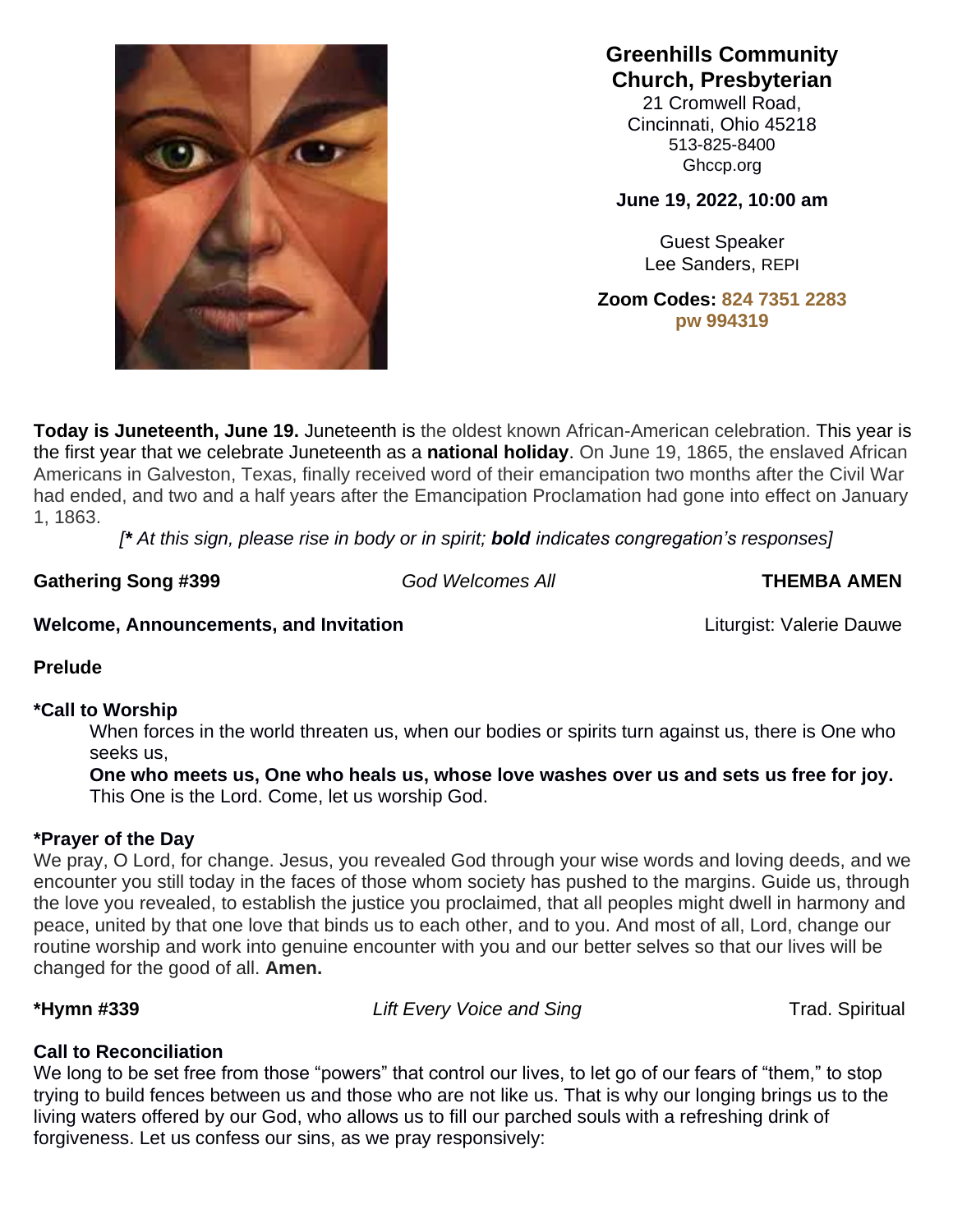

**Greenhills Community Church, Presbyterian**

21 Cromwell Road, Cincinnati, Ohio 45218 513-825-8400 Ghccp.org

**June 19, 2022, 10:00 am**

Guest Speaker Lee Sanders, REPI

**Zoom Codes: 824 7351 2283 pw 994319**

**Today is Juneteenth, June 19.** Juneteenth is the oldest known African-American celebration. This year is the first year that we celebrate Juneteenth as a **national holiday**. On June 19, 1865, the enslaved African Americans in Galveston, Texas, finally received word of their emancipation two months after the Civil War had ended, and two and a half years after the Emancipation Proclamation had gone into effect on January 1, 1863.

*[\* At this sign, please rise in body or in spirit; bold indicates congregation's responses]*

Gathering Song #399 *God Welcomes All* **THEMBA AMEN** 

## **Welcome, Announcements, and Invitation** *Liturgist: Valerie Dauwe* **<b>Communist Letters**

**Prelude**

## **\*Call to Worship**

When forces in the world threaten us, when our bodies or spirits turn against us, there is One who seeks us,

**One who meets us, One who heals us, whose love washes over us and sets us free for joy.** This One is the Lord. Come, let us worship God.

# **\*Prayer of the Day**

We pray, O Lord, for change. Jesus, you revealed God through your wise words and loving deeds, and we encounter you still today in the faces of those whom society has pushed to the margins. Guide us, through the love you revealed, to establish the justice you proclaimed, that all peoples might dwell in harmony and peace, united by that one love that binds us to each other, and to you. And most of all, Lord, change our routine worship and work into genuine encounter with you and our better selves so that our lives will be changed for the good of all. **Amen.**

\*Hymn #339 *Lift Every Voice and Sing* Trad. Spiritual

# **Call to Reconciliation**

We long to be set free from those "powers" that control our lives, to let go of our fears of "them," to stop trying to build fences between us and those who are not like us. That is why our longing brings us to the living waters offered by our God, who allows us to fill our parched souls with a refreshing drink of forgiveness. Let us confess our sins, as we pray responsively: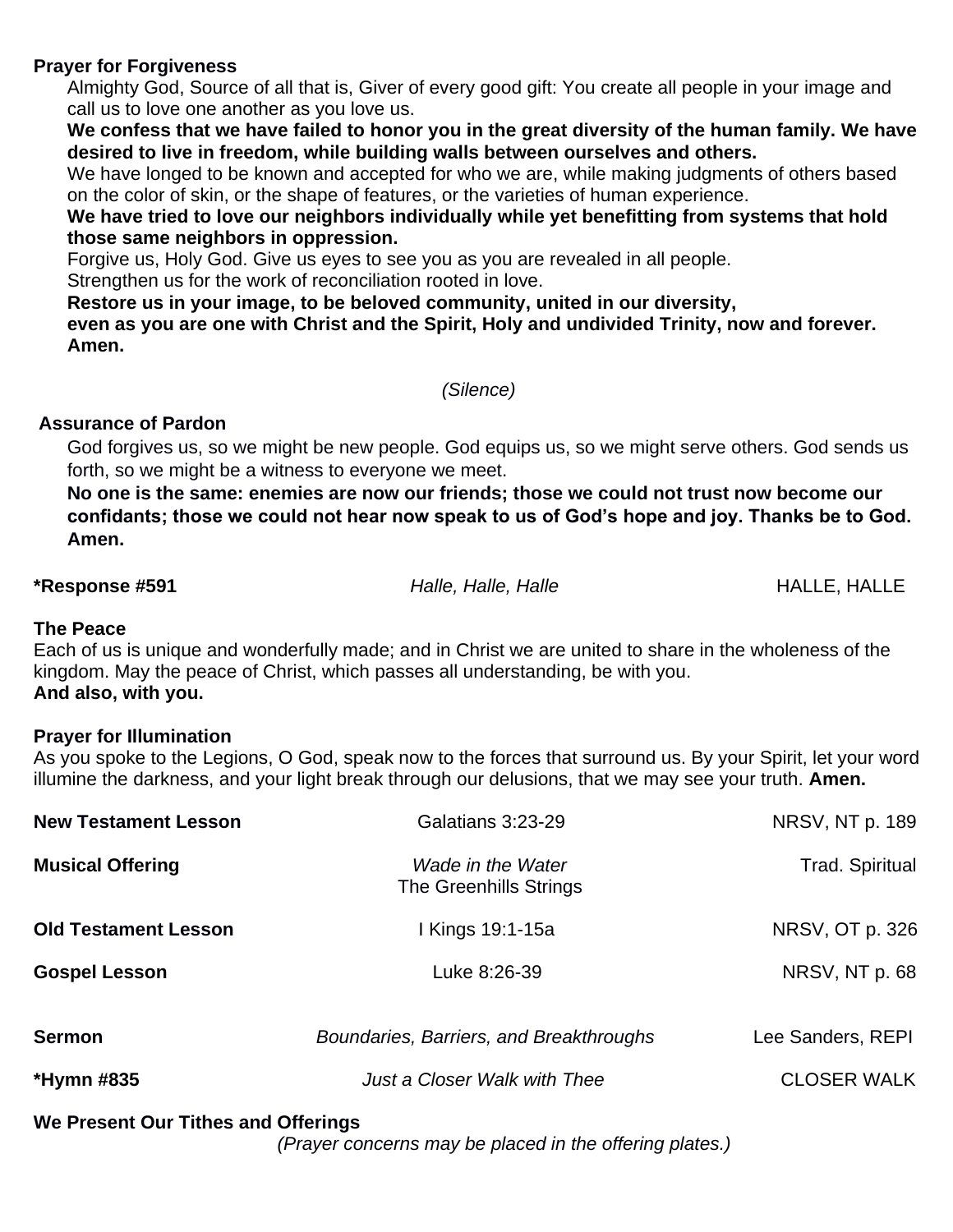## **Prayer for Forgiveness**

Almighty God, Source of all that is, Giver of every good gift: You create all people in your image and call us to love one another as you love us.

**We confess that we have failed to honor you in the great diversity of the human family. We have desired to live in freedom, while building walls between ourselves and others.**

We have longed to be known and accepted for who we are, while making judgments of others based on the color of skin, or the shape of features, or the varieties of human experience.

**We have tried to love our neighbors individually while yet benefitting from systems that hold those same neighbors in oppression.**

Forgive us, Holy God. Give us eyes to see you as you are revealed in all people.

Strengthen us for the work of reconciliation rooted in love.

**Restore us in your image, to be beloved community, united in our diversity,**

**even as you are one with Christ and the Spirit, Holy and undivided Trinity, now and forever. Amen.**

*(Silence)*

# **Assurance of Pardon**

God forgives us, so we might be new people. God equips us, so we might serve others. God sends us forth, so we might be a witness to everyone we meet.

**No one is the same: enemies are now our friends; those we could not trust now become our confidants; those we could not hear now speak to us of God's hope and joy. Thanks be to God. Amen.**

**\*Response #591** *Halle, Halle, Halle*HALLE, HALLE

# **The Peace**

Each of us is unique and wonderfully made; and in Christ we are united to share in the wholeness of the kingdom. May the peace of Christ, which passes all understanding, be with you. **And also, with you.**

## **Prayer for Illumination**

As you spoke to the Legions, O God, speak now to the forces that surround us. By your Spirit, let your word illumine the darkness, and your light break through our delusions, that we may see your truth. **Amen.**

| <b>New Testament Lesson</b> | Galatians 3:23-29                           | NRSV, NT p. 189    |
|-----------------------------|---------------------------------------------|--------------------|
| <b>Musical Offering</b>     | Wade in the Water<br>The Greenhills Strings | Trad. Spiritual    |
| <b>Old Testament Lesson</b> | I Kings 19:1-15a                            | NRSV, OT p. 326    |
| <b>Gospel Lesson</b>        | Luke 8:26-39                                | NRSV, NT p. 68     |
| <b>Sermon</b>               | Boundaries, Barriers, and Breakthroughs     | Lee Sanders, REPI  |
| *Hymn #835                  | Just a Closer Walk with Thee                | <b>CLOSER WALK</b> |

## **We Present Our Tithes and Offerings**

*(Prayer concerns may be placed in the offering plates.)*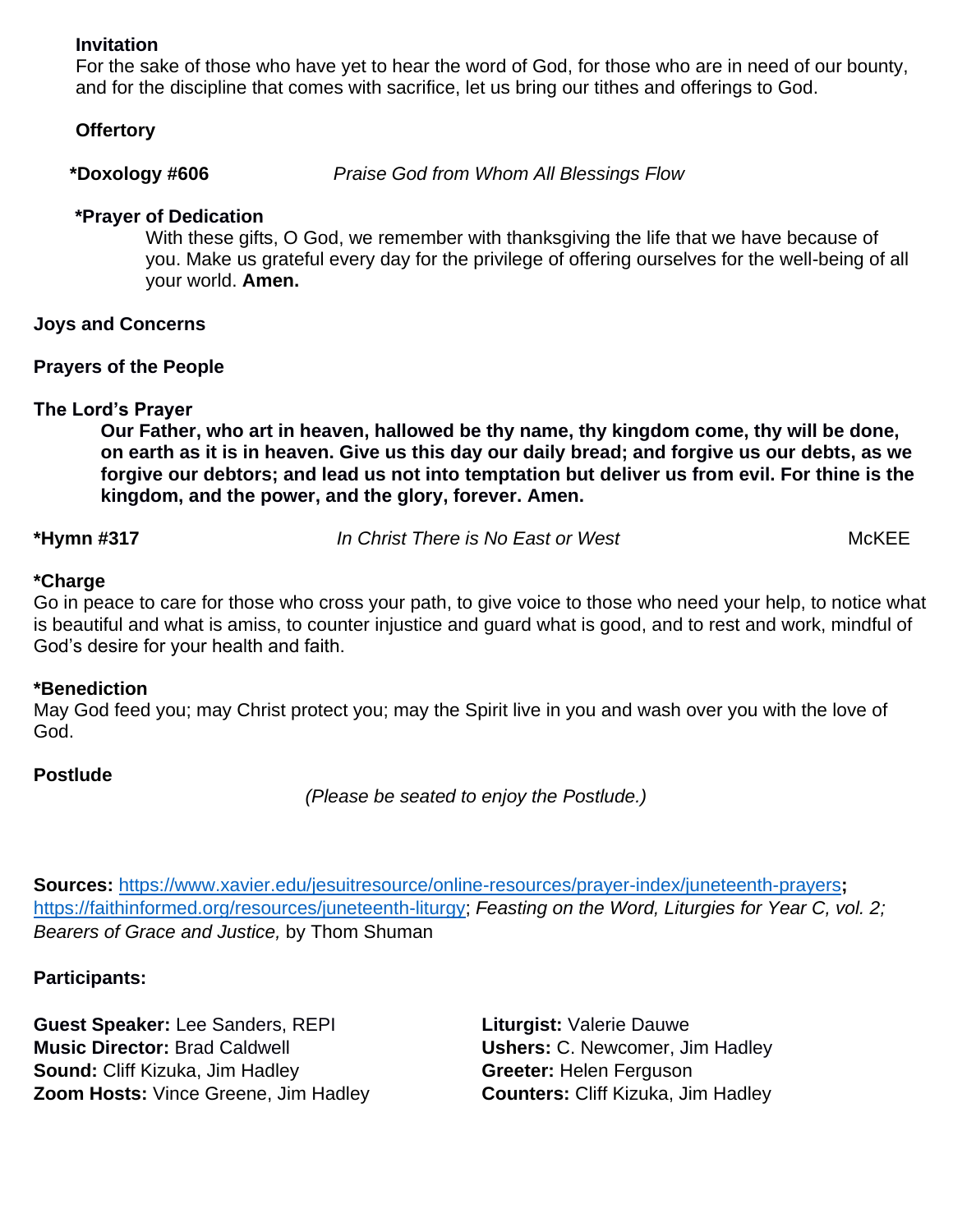#### **Invitation**

For the sake of those who have yet to hear the word of God, for those who are in need of our bounty, and for the discipline that comes with sacrifice, let us bring our tithes and offerings to God.

#### **Offertory**

 **\*Doxology #606** *Praise God from Whom All Blessings Flow* 

## **\*Prayer of Dedication**

With these gifts, O God, we remember with thanksgiving the life that we have because of you. Make us grateful every day for the privilege of offering ourselves for the well-being of all your world. **Amen.**

## **Joys and Concerns**

## **Prayers of the People**

# **The Lord's Prayer**

**Our Father, who art in heaven, hallowed be thy name, thy kingdom come, thy will be done, on earth as it is in heaven. Give us this day our daily bread; and forgive us our debts, as we forgive our debtors; and lead us not into temptation but deliver us from evil. For thine is the kingdom, and the power, and the glory, forever. Amen.**

**\*Hymn #317** *In Christ There is No East or West*McKEE

## **\*Charge**

Go in peace to care for those who cross your path, to give voice to those who need your help, to notice what is beautiful and what is amiss, to counter injustice and guard what is good, and to rest and work, mindful of God's desire for your health and faith.

## **\*Benediction**

May God feed you; may Christ protect you; may the Spirit live in you and wash over you with the love of God.

## **Postlude**

*(Please be seated to enjoy the Postlude.)*

**Sources:** <https://www.xavier.edu/jesuitresource/online-resources/prayer-index/juneteenth-prayers>**;**  [https://faithinformed.org/resources/juneteenth-liturgy;](https://faithinformed.org/resources/juneteenth-liturgy) *Feasting on the Word, Liturgies for Year C, vol. 2; Bearers of Grace and Justice,* by Thom Shuman

**Participants:** 

**Guest Speaker:** Lee Sanders, REPI **Liturgist:** Valerie Dauwe **Music Director:** Brad Caldwell **Ushers:** C. Newcomer, Jim Hadley **Sound:** Cliff Kizuka, Jim Hadley **Greeter:** Helen Ferguson **Zoom Hosts:** Vince Greene, Jim Hadley **Counters:** Cliff Kizuka, Jim Hadley